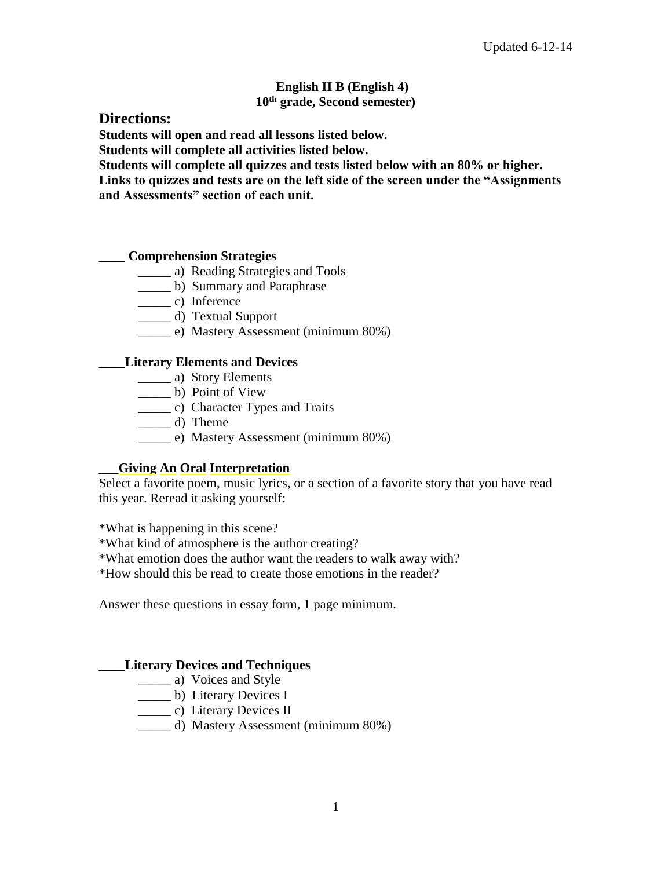### **English II B (English 4) 10th grade, Second semester)**

# **Directions:**

**Students will open and read all lessons listed below.**

**Students will complete all activities listed below.** 

**Students will complete all quizzes and tests listed below with an 80% or higher.** 

**Links to quizzes and tests are on the left side of the screen under the "Assignments and Assessments" section of each unit.** 

# **\_\_\_\_ Comprehension Strategies**

- \_\_\_\_\_ a) Reading Strategies and Tools
- \_\_\_\_\_ b) Summary and Paraphrase
- $\frac{c}{2}$  c) Inference
- \_\_\_\_\_ d) Textual Support
- \_\_\_\_\_ e) Mastery Assessment (minimum 80%)

# **\_\_\_\_Literary Elements and Devices**

- \_\_\_\_\_ a) Story Elements
- \_\_\_\_\_ b) Point of View
- \_\_\_\_\_ c) Character Types and Traits
- \_\_\_\_\_ d) Theme
- \_\_\_\_\_ e) Mastery Assessment (minimum 80%)

# **\_\_\_Giving An Oral Interpretation**

Select a favorite poem, music lyrics, or a section of a favorite story that you have read this year. Reread it asking yourself:

\*What is happening in this scene?

\*What kind of atmosphere is the author creating?

\*What emotion does the author want the readers to walk away with?

\*How should this be read to create those emotions in the reader?

Answer these questions in essay form, 1 page minimum.

# **\_\_\_\_Literary Devices and Techniques**

- \_\_\_\_\_\_ a) Voices and Style
- \_\_\_\_\_ b) Literary Devices I
- \_\_\_\_\_ c) Literary Devices II
- \_\_\_\_\_ d) Mastery Assessment (minimum 80%)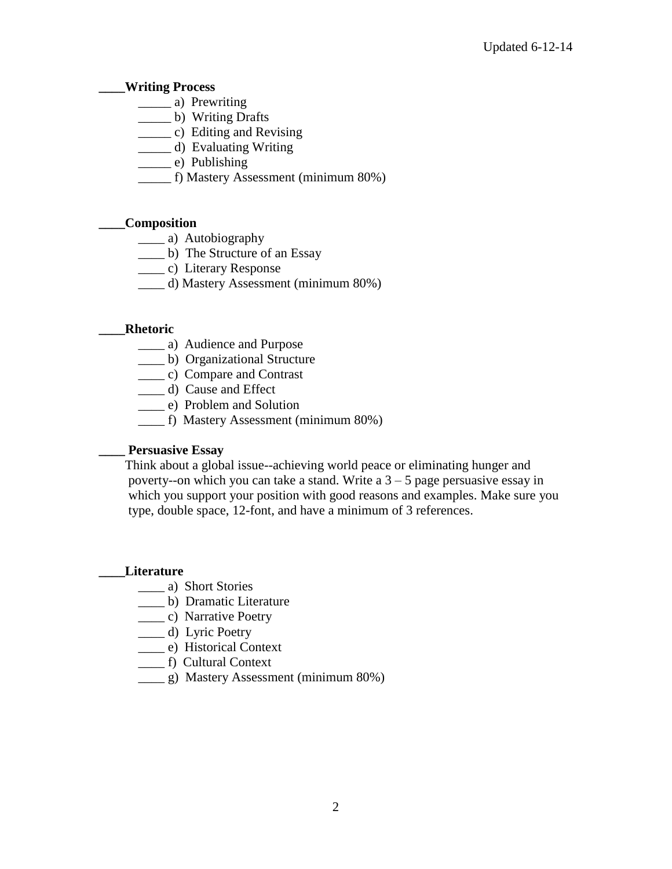### **\_\_\_\_Writing Process**

- \_\_\_\_\_ a) Prewriting
- \_\_\_\_\_ b) Writing Drafts
- \_\_\_\_\_ c) Editing and Revising
- \_\_\_\_\_ d) Evaluating Writing
- \_\_\_\_\_ e) Publishing
- \_\_\_\_\_ f) Mastery Assessment (minimum 80%)

#### **\_\_\_\_Composition**

- \_\_\_\_ a) Autobiography
- \_\_\_\_ b) The Structure of an Essay
- \_\_\_\_ c) Literary Response
- \_\_\_\_ d) Mastery Assessment (minimum 80%)

#### **\_\_\_\_Rhetoric**

- \_\_\_\_ a) Audience and Purpose
- \_\_\_\_ b) Organizational Structure
- \_\_\_\_ c) Compare and Contrast
- \_\_\_\_ d) Cause and Effect
- \_\_\_\_ e) Problem and Solution
- \_\_\_\_ f) Mastery Assessment (minimum 80%)

#### **\_\_\_\_ Persuasive Essay**

 Think about a global issue--achieving world peace or eliminating hunger and poverty--on which you can take a stand. Write a  $3 - 5$  page persuasive essay in which you support your position with good reasons and examples. Make sure you type, double space, 12-font, and have a minimum of 3 references.

#### **\_\_\_\_Literature**

- \_\_\_\_ a) Short Stories
- \_\_\_\_ b) Dramatic Literature
- \_\_\_\_ c) Narrative Poetry
- \_\_\_\_ d) Lyric Poetry
- \_\_\_\_ e) Historical Context
- \_\_\_\_ f) Cultural Context
- \_\_\_\_ g) Mastery Assessment (minimum 80%)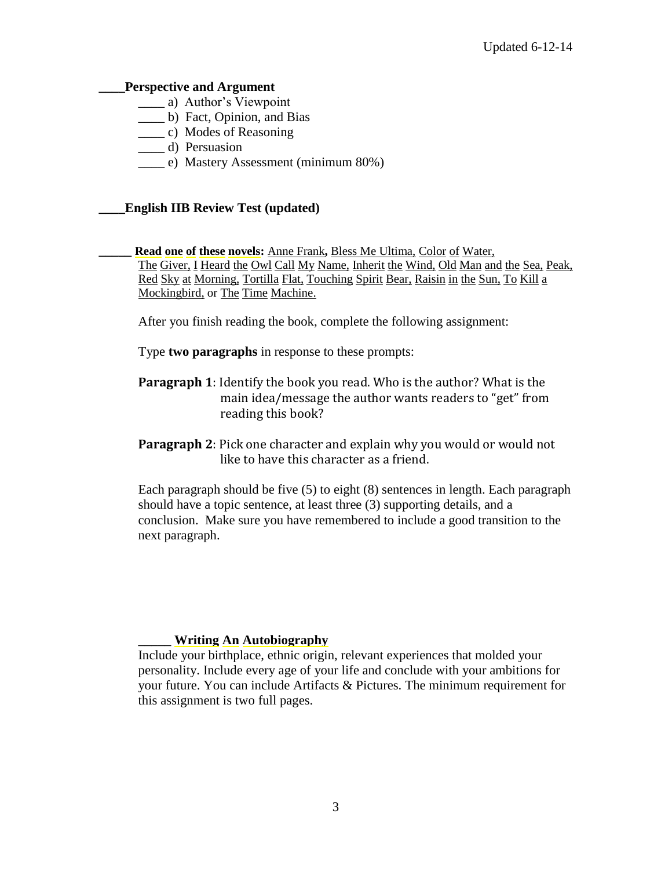#### **\_\_\_\_Perspective and Argument**

- \_\_\_\_ a) Author's Viewpoint
- \_\_\_\_ b) Fact, Opinion, and Bias
- \_\_\_\_ c) Modes of Reasoning
- \_\_\_\_ d) Persuasion
- \_\_\_\_ e) Mastery Assessment (minimum 80%)

# **\_\_\_\_English IIB Review Test (updated)**

**\_\_\_\_\_ Read one of these novels:** Anne Frank**,** Bless Me Ultima, Color of Water, The Giver, I Heard the Owl Call My Name, Inherit the Wind, Old Man and the Sea, Peak, Red Sky at Morning, Tortilla Flat, Touching Spirit Bear, Raisin in the Sun, To Kill a Mockingbird, or The Time Machine.

After you finish reading the book, complete the following assignment:

Type **two paragraphs** in response to these prompts:

- **Paragraph 1**: Identify the book you read. Who is the author? What is the main idea/message the author wants readers to "get" from reading this book?
- **Paragraph 2**: Pick one character and explain why you would or would not like to have this character as a friend.

Each paragraph should be five (5) to eight (8) sentences in length. Each paragraph should have a topic sentence, at least three (3) supporting details, and a conclusion. Make sure you have remembered to include a good transition to the next paragraph.

### **\_\_\_\_\_ Writing An Autobiography**

Include your birthplace, ethnic origin, relevant experiences that molded your personality. Include every age of your life and conclude with your ambitions for your future. You can include Artifacts & Pictures. The minimum requirement for this assignment is two full pages.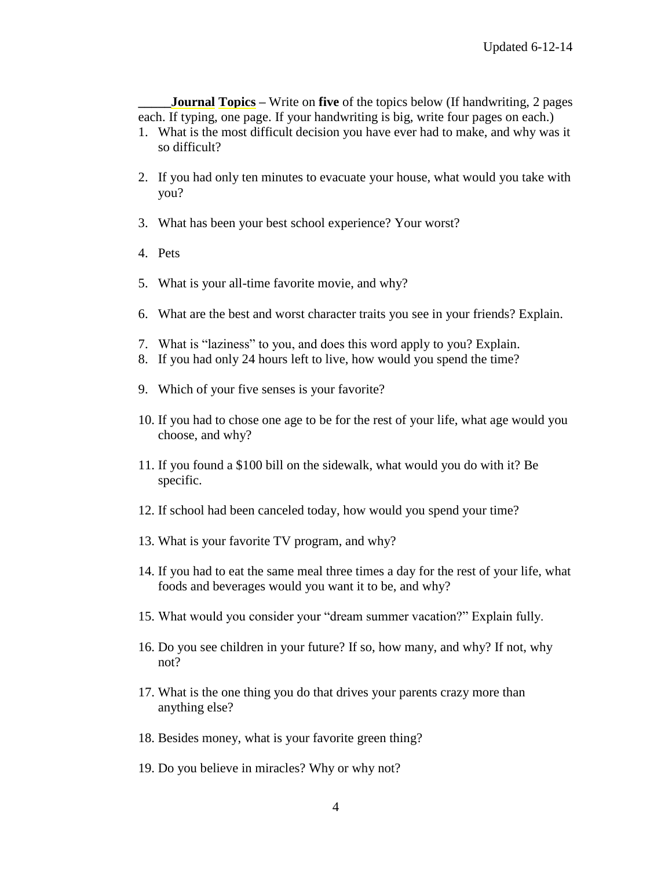**Journal Topics** – Write on **five** of the topics below (If handwriting, 2 pages each. If typing, one page. If your handwriting is big, write four pages on each.)

- 1. What is the most difficult decision you have ever had to make, and why was it so difficult?
- 2. If you had only ten minutes to evacuate your house, what would you take with you?
- 3. What has been your best school experience? Your worst?
- 4. Pets
- 5. What is your all-time favorite movie, and why?
- 6. What are the best and worst character traits you see in your friends? Explain.
- 7. What is "laziness" to you, and does this word apply to you? Explain.
- 8. If you had only 24 hours left to live, how would you spend the time?
- 9. Which of your five senses is your favorite?
- 10. If you had to chose one age to be for the rest of your life, what age would you choose, and why?
- 11. If you found a \$100 bill on the sidewalk, what would you do with it? Be specific.
- 12. If school had been canceled today, how would you spend your time?
- 13. What is your favorite TV program, and why?
- 14. If you had to eat the same meal three times a day for the rest of your life, what foods and beverages would you want it to be, and why?
- 15. What would you consider your "dream summer vacation?" Explain fully.
- 16. Do you see children in your future? If so, how many, and why? If not, why not?
- 17. What is the one thing you do that drives your parents crazy more than anything else?
- 18. Besides money, what is your favorite green thing?
- 19. Do you believe in miracles? Why or why not?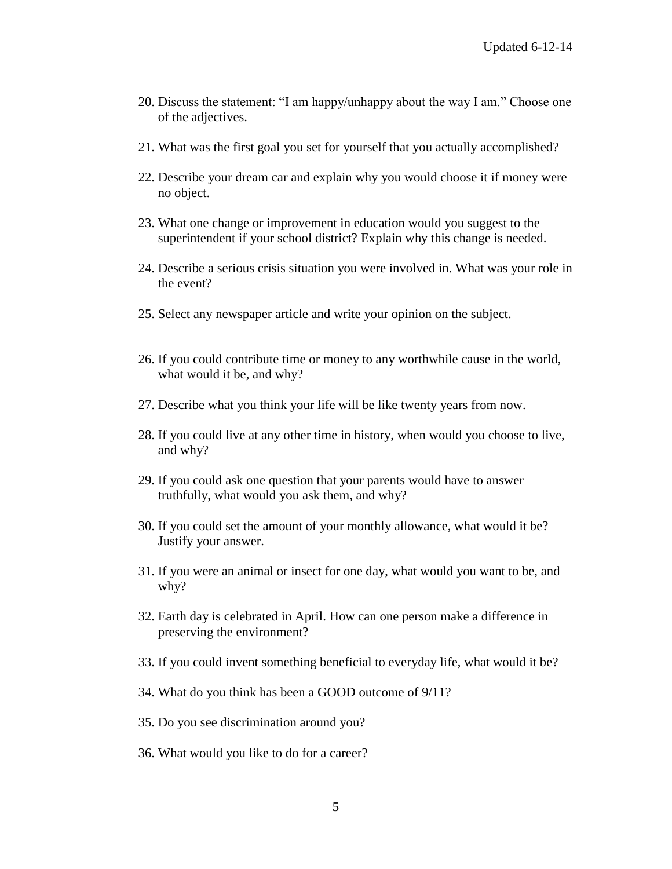- 20. Discuss the statement: "I am happy/unhappy about the way I am." Choose one of the adjectives.
- 21. What was the first goal you set for yourself that you actually accomplished?
- 22. Describe your dream car and explain why you would choose it if money were no object.
- 23. What one change or improvement in education would you suggest to the superintendent if your school district? Explain why this change is needed.
- 24. Describe a serious crisis situation you were involved in. What was your role in the event?
- 25. Select any newspaper article and write your opinion on the subject.
- 26. If you could contribute time or money to any worthwhile cause in the world, what would it be, and why?
- 27. Describe what you think your life will be like twenty years from now.
- 28. If you could live at any other time in history, when would you choose to live, and why?
- 29. If you could ask one question that your parents would have to answer truthfully, what would you ask them, and why?
- 30. If you could set the amount of your monthly allowance, what would it be? Justify your answer.
- 31. If you were an animal or insect for one day, what would you want to be, and why?
- 32. Earth day is celebrated in April. How can one person make a difference in preserving the environment?
- 33. If you could invent something beneficial to everyday life, what would it be?
- 34. What do you think has been a GOOD outcome of 9/11?
- 35. Do you see discrimination around you?
- 36. What would you like to do for a career?